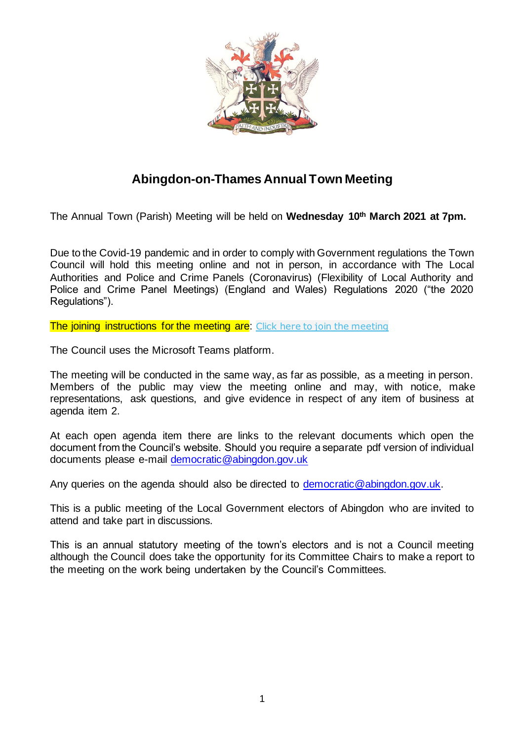

## **Abingdon-on-Thames Annual Town Meeting**

The Annual Town (Parish) Meeting will be held on **Wednesday 10th March 2021 at 7pm.**

Due to the Covid-19 pandemic and in order to comply with Government regulations the Town Council will hold this meeting online and not in person, in accordance with The Local Authorities and Police and Crime Panels (Coronavirus) (Flexibility of Local Authority and Police and Crime Panel Meetings) (England and Wales) Regulations 2020 ("the 2020 Regulations").

The joining instructions for the [meeting](https://teams.microsoft.com/l/meetup-join/19%3ameeting_YTRhMDE0NTAtMzI0Ny00ZDAyLWIzYmMtMDUwODcxNGY4NjY1%40thread.v2/0?context=%7b%22Tid%22%3a%221a0972a6-a9ae-488a-828b-a1dcc7b2c8af%22%2c%22Oid%22%3a%2283707cd0-3abb-42b7-bcc3-6920a58c1283%22%7d) are: Click here to join the meeting

The Council uses the Microsoft Teams platform.

The meeting will be conducted in the same way, as far as possible, as a meeting in person. Members of the public may view the meeting online and may, with notice, make representations, ask questions, and give evidence in respect of any item of business at agenda item 2.

At each open agenda item there are links to the relevant documents which open the document from the Council's website. Should you require a separate pdf version of individual documents please e-mail [democratic@abingdon.gov.uk](mailto:democratic@abingdon.gov.uk)

Any queries on the agenda should also be directed to [democratic@abingdon.gov.uk.](mailto:democratic@abingdon.gov.uk)

This is a public meeting of the Local Government electors of Abingdon who are invited to attend and take part in discussions.

This is an annual statutory meeting of the town's electors and is not a Council meeting although the Council does take the opportunity for its Committee Chairs to make a report to the meeting on the work being undertaken by the Council's Committees.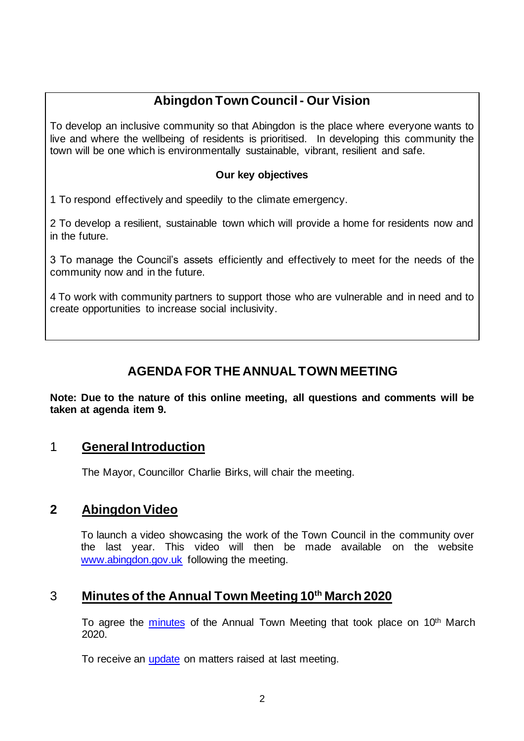# **Abingdon Town Council - Our Vision**

To develop an inclusive community so that Abingdon is the place where everyone wants to live and where the wellbeing of residents is prioritised. In developing this community the town will be one which is environmentally sustainable, vibrant, resilient and safe.

#### **Our key objectives**

1 To respond effectively and speedily to the climate emergency.

2 To develop a resilient, sustainable town which will provide a home for residents now and in the future.

3 To manage the Council's assets efficiently and effectively to meet for the needs of the community now and in the future.

4 To work with community partners to support those who are vulnerable and in need and to create opportunities to increase social inclusivity.

# **AGENDA FOR THE ANNUAL TOWN MEETING**

**Note: Due to the nature of this online meeting, all questions and comments will be taken at agenda item 9.**

### 1 **General Introduction**

The Mayor, Councillor Charlie Birks, will chair the meeting.

### **2 Abingdon Video**

To launch a video showcasing the work of the Town Council in the community over the last year. This video will then be made available on the website [www.abingdon.gov.uk](http://www.abingdon.gov.uk/) following the meeting.

### 3 **Minutes of the Annual Town Meeting 10th March 2020**

To agree the [minutes](https://www.abingdon.gov.uk/system/files/sites/default/files/towncouncil/minutes/minutes_annual_parish_mtg_2020.pdf) of the Annual Town Meeting that took place on 10<sup>th</sup> March 2020.

To receive an [update](https://www.abingdon.gov.uk/system/files/sites/default/files/towncouncil/minutes/table_of_questions_answers_from_annual_parish_meeting_thursday_10th_march_2020.pdf) on matters raised at last meeting.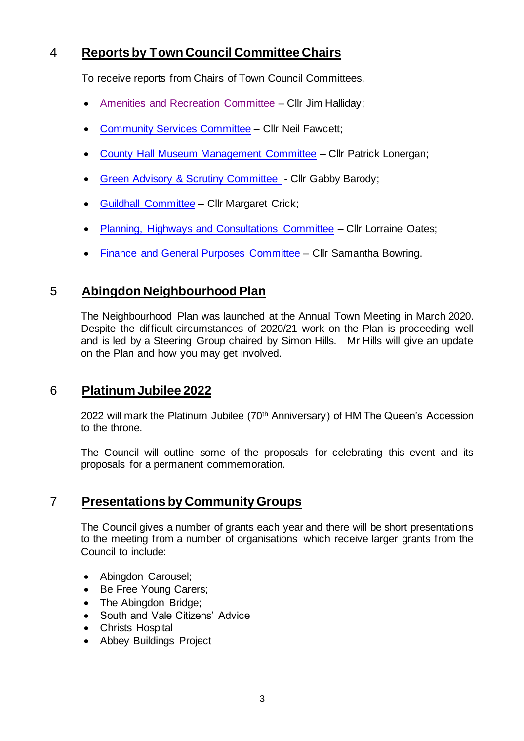## 4 **Reports by Town Council Committee Chairs**

To receive reports from Chairs of Town Council Committees.

- [Amenities and Recreation Committee](https://www.abingdon.gov.uk/wp-content/uploads/2021/06/Abingdon-Parish-Meeting-10.3.21-Amenities-and-Recreation-Committee-Report-of-the-Chair-of-FINAL.pdf) Cllr Jim Halliday;
- [Community Services Committee](https://www.abingdon.gov.uk/wp-content/uploads/2021/06/Abingdon-Parish-Meeting-10.3.21-Community-Services-Committee-Report-FINAL.pdf) Cllr Neil Fawcett;
- [County Hall Museum Management Committee](https://www.abingdon.gov.uk/wp-content/uploads/2021/06/Abingdon-Parish-Meeting-10.3.21-CHMMC-Report-of-Chair-FINAL.pdf) Cllr Patrick Lonergan;
- [Green Advisory & Scrutiny Committee](https://www.abingdon.gov.uk/wp-content/uploads/2021/06/Abingdon-Parish-Meeting-10.3.21-Green-Advisory-and-Scrutiny-Committee-Report-of-Chair-FINAL.pdf) Cllr Gabby Barody;
- [Guildhall Committee](https://www.abingdon.gov.uk/wp-content/uploads/2021/06/Abingdon-Parish-Meeting-10.3.21-Guildhall-Committee-Report-FINAL.pdf) Cllr Margaret Crick;
- [Planning, Highways and Consultations Committee](https://www.abingdon.gov.uk/wp-content/uploads/2021/06/Abingdon-Parish-Meeting-10.3.21-Report-of-Chair-Planning-Highways-and-Consultations-FINAL.pdf) Cllr Lorraine Oates;
- [Finance and General Purposes Committee](https://www.abingdon.gov.uk/wp-content/uploads/2021/06/Abingdon-Parish-Meeting-10.3.21-Finance-and-General-Purposes-FINAL.pdf) Cllr Samantha Bowring.

### 5 **Abingdon Neighbourhood Plan**

The Neighbourhood Plan was launched at the Annual Town Meeting in March 2020. Despite the difficult circumstances of 2020/21 work on the Plan is proceeding well and is led by a Steering Group chaired by Simon Hills. Mr Hills will give an update on the Plan and how you may get involved.

### 6 **Platinum Jubilee 2022**

2022 will mark the Platinum Jubilee (70<sup>th</sup> Anniversary) of HM The Queen's Accession to the throne.

The Council will outline some of the proposals for celebrating this event and its proposals for a permanent commemoration.

### 7 **Presentations by Community Groups**

The Council gives a number of grants each year and there will be short presentations to the meeting from a number of organisations which receive larger grants from the Council to include:

- Abingdon Carousel;
- Be Free Young Carers;
- The Abingdon Bridge;
- South and Vale Citizens' Advice
- Christs Hospital
- Abbey Buildings Project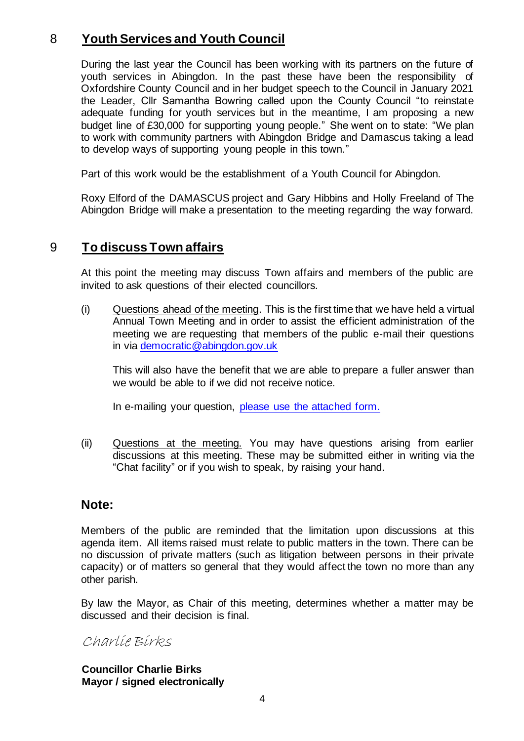## 8 **Youth Services and Youth Council**

During the last year the Council has been working with its partners on the future of youth services in Abingdon. In the past these have been the responsibility of Oxfordshire County Council and in her budget speech to the Council in January 2021 the Leader, Cllr Samantha Bowring called upon the County Council "to reinstate adequate funding for youth services but in the meantime, I am proposing a new budget line of £30,000 for supporting young people." She went on to state: "We plan to work with community partners with Abingdon Bridge and Damascus taking a lead to develop ways of supporting young people in this town."

Part of this work would be the establishment of a Youth Council for Abingdon.

Roxy Elford of the DAMASCUS project and Gary Hibbins and Holly Freeland of The Abingdon Bridge will make a presentation to the meeting regarding the way forward.

### 9 **To discuss Town affairs**

At this point the meeting may discuss Town affairs and members of the public are invited to ask questions of their elected councillors.

(i) Questions ahead of the meeting. This is the first time that we have held a virtual Annual Town Meeting and in order to assist the efficient administration of the meeting we are requesting that members of the public e-mail their questions in via [democratic@abingdon.gov.uk](mailto:democratic@abingdon.gov.uk) 

This will also have the benefit that we are able to prepare a fuller answer than we would be able to if we did not receive notice.

In e-mailing your question, [please use the attached form.](https://www.abingdon.gov.uk/system/files/sites/default/files/towncouncil/minutes/annual_town_meeting_question_form.pdf)

(ii) Questions at the meeting. You may have questions arising from earlier discussions at this meeting. These may be submitted either in writing via the "Chat facility" or if you wish to speak, by raising your hand.

#### **Note:**

Members of the public are reminded that the limitation upon discussions at this agenda item. All items raised must relate to public matters in the town. There can be no discussion of private matters (such as litigation between persons in their private capacity) or of matters so general that they would affect the town no more than any other parish.

By law the Mayor, as Chair of this meeting, determines whether a matter may be discussed and their decision is final.

Charlie Birks

**Councillor Charlie Birks Mayor / signed electronically**